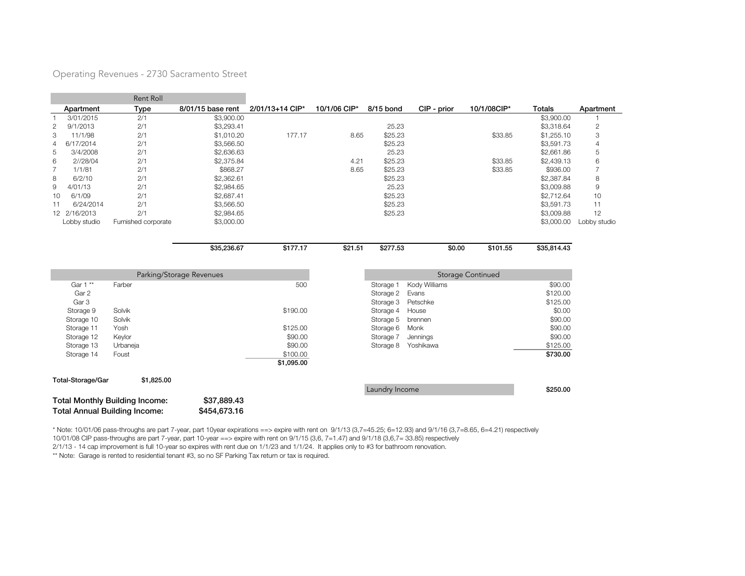### Operating Revenues - 2730 Sacramento Street

|                |              | Rent Roll           |                   |                 |              |           |             |             |             |                |
|----------------|--------------|---------------------|-------------------|-----------------|--------------|-----------|-------------|-------------|-------------|----------------|
|                | Apartment    | Type                | 8/01/15 base rent | 2/01/13+14 CIP* | 10/1/06 CIP* | 8/15 bond | CIP - prior | 10/1/08CIP* | Totals      | Apartment      |
|                | 3/01/2015    | 2/1                 | \$3,900.00        |                 |              |           |             |             | \$3,900.00  |                |
| $\overline{2}$ | 9/1/2013     | 2/1                 | \$3,293.41        |                 |              | 25.23     |             |             | \$3,318.64  | $\overline{2}$ |
| 3              | 11/1/98      | 2/1                 | \$1,010.20        | 177.17          | 8.65         | \$25.23   |             | \$33.85     | \$1,255.10  | 3              |
| 4              | 6/17/2014    | 2/1                 | \$3,566.50        |                 |              | \$25.23   |             |             | \$3,591.73  | 4              |
| 5              | 3/4/2008     | 2/1                 | \$2,636.63        |                 |              | 25.23     |             |             | \$2,661.86  | 5              |
| 6              | 2//28/04     | 2/1                 | \$2,375.84        |                 | 4.21         | \$25.23   |             | \$33.85     | \$2,439.13  | 6              |
|                | 1/1/81       | 2/1                 | \$868.27          |                 | 8.65         | \$25.23   |             | \$33.85     | \$936.00    |                |
| 8              | 6/2/10       | 2/1                 | \$2,362.61        |                 |              | \$25.23   |             |             | \$2,387.84  | 8              |
| 9              | 4/01/13      | 2/1                 | \$2,984.65        |                 |              | 25.23     |             |             | \$3,009.88  | 9              |
| 10             | 6/1/09       | 2/1                 | \$2,687.41        |                 |              | \$25.23   |             |             | \$2,712.64  | 10             |
| 11             | 6/24/2014    | 2/1                 | \$3,566.50        |                 |              | \$25.23   |             |             | \$3,591.73  | 11             |
|                | 12 2/16/2013 | 2/1                 | \$2,984.65        |                 |              | \$25.23   |             |             | \$3,009.88  | 12             |
|                | Lobby studio | Furnished corporate | \$3,000.00        |                 |              |           |             |             | \$3,000.00  | Lobby studio   |
|                |              |                     |                   |                 |              |           |             |             |             |                |
|                |              |                     | \$35,236.67       | \$177.17        | \$21.51      | \$277.53  | \$0.00      | \$101.55    | \$35,814.43 |                |

|                                                      | Parking/Storage Revenues             |              |            |                | Storage Continued |          |
|------------------------------------------------------|--------------------------------------|--------------|------------|----------------|-------------------|----------|
| Gar 1 **                                             | Farber                               |              | 500        | Storage 1      | Kody Williams     | \$90.00  |
| Gar 2                                                |                                      |              |            | Storage 2      | Evans             | \$120.00 |
| Gar 3                                                |                                      |              |            | Storage 3      | Petschke          | \$125.00 |
| Storage 9                                            | Solvik                               |              | \$190.00   | Storage 4      | House             | \$0.00   |
| Storage 10                                           | Solvik                               |              |            | Storage 5      | brennen           | \$90.00  |
| Storage 11                                           | Yosh                                 |              | \$125.00   | Storage 6      | Monk              | \$90.00  |
| Storage 12                                           | Keylor                               |              | \$90.00    | Storage 7      | Jennings          | \$90.00  |
| Storage 13                                           | Urbaneja                             |              | \$90.00    | Storage 8      | Yoshikawa         | \$125.00 |
| Storage 14                                           | Foust                                |              | \$100.00   |                |                   | \$730.00 |
|                                                      |                                      |              | \$1,095.00 |                |                   |          |
| Total-Storage/Gar                                    | \$1,825.00                           |              |            |                |                   |          |
|                                                      |                                      |              |            | Laundry Income |                   | \$250.00 |
| <b>Total Monthly Building Income:</b><br>\$37,889.43 |                                      |              |            |                |                   |          |
|                                                      | <b>Total Annual Building Income:</b> | \$454,673.16 |            |                |                   |          |

\* Note: 10/01/06 pass-throughs are part 7-year, part 10year expirations ==> expire with rent on 9/1/13 (3,7=45.25; 6=12.93) and 9/1/16 (3,7=8.65, 6=4.21) respectively

10/01/08 CIP pass-throughs are part 7-year, part 10-year ==> expire with rent on 9/1/15 (3,6, 7=1.47) and 9/1/18 (3,6,7= 33.85) respectively

a.

2/1/13 - 14 cap improvement is full 10-year so expires with rent due on 1/1/23 and 1/1/24. It applies only to #3 for bathroom renovation.

\*\* Note: Garage is rented to residential tenant #3, so no SF Parking Tax return or tax is required.